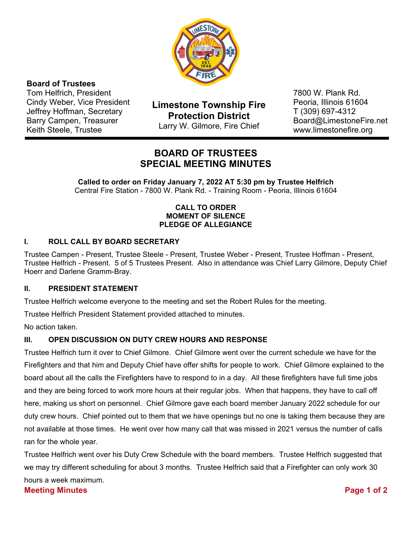

## **Board of Trustees**

Tom Helfrich, President Cindy Weber, Vice President Jeffrey Hoffman, Secretary Barry Campen, Treasurer Keith Steele, Trustee

**Limestone Township Fire Protection District**  Larry W. Gilmore, Fire Chief

7800 W. Plank Rd. Peoria, Illinois 61604 T (309) 697-4312 Board@LimestoneFire.net www.limestonefire.org

# **BOARD OF TRUSTEES SPECIAL MEETING MINUTES**

**Called to order on Friday January 7, 2022 AT 5:30 pm by Trustee Helfrich**  Central Fire Station - 7800 W. Plank Rd. - Training Room - Peoria, Illinois 61604

#### **CALL TO ORDER MOMENT OF SILENCE PLEDGE OF ALLEGIANCE**

#### **I. ROLL CALL BY BOARD SECRETARY**

Trustee Campen - Present, Trustee Steele - Present, Trustee Weber - Present, Trustee Hoffman - Present, Trustee Helfrich - Present. 5 of 5 Trustees Present. Also in attendance was Chief Larry Gilmore, Deputy Chief Hoerr and Darlene Gramm-Bray.

#### **II. PRESIDENT STATEMENT**

Trustee Helfrich welcome everyone to the meeting and set the Robert Rules for the meeting.

Trustee Helfrich President Statement provided attached to minutes.

No action taken.

#### **III. OPEN DISCUSSION ON DUTY CREW HOURS AND RESPONSE**

Trustee Helfrich turn it over to Chief Gilmore. Chief Gilmore went over the current schedule we have for the Firefighters and that him and Deputy Chief have offer shifts for people to work. Chief Gilmore explained to the board about all the calls the Firefighters have to respond to in a day. All these firefighters have full time jobs and they are being forced to work more hours at their regular jobs. When that happens, they have to call off here, making us short on personnel. Chief Gilmore gave each board member January 2022 schedule for our duty crew hours. Chief pointed out to them that we have openings but no one is taking them because they are not available at those times. He went over how many call that was missed in 2021 versus the number of calls ran for the whole year.

Trustee Helfrich went over his Duty Crew Schedule with the board members. Trustee Helfrich suggested that we may try different scheduling for about 3 months. Trustee Helfrich said that a Firefighter can only work 30 hours a week maximum.

#### **Meeting Minutes Page 1 of 2**